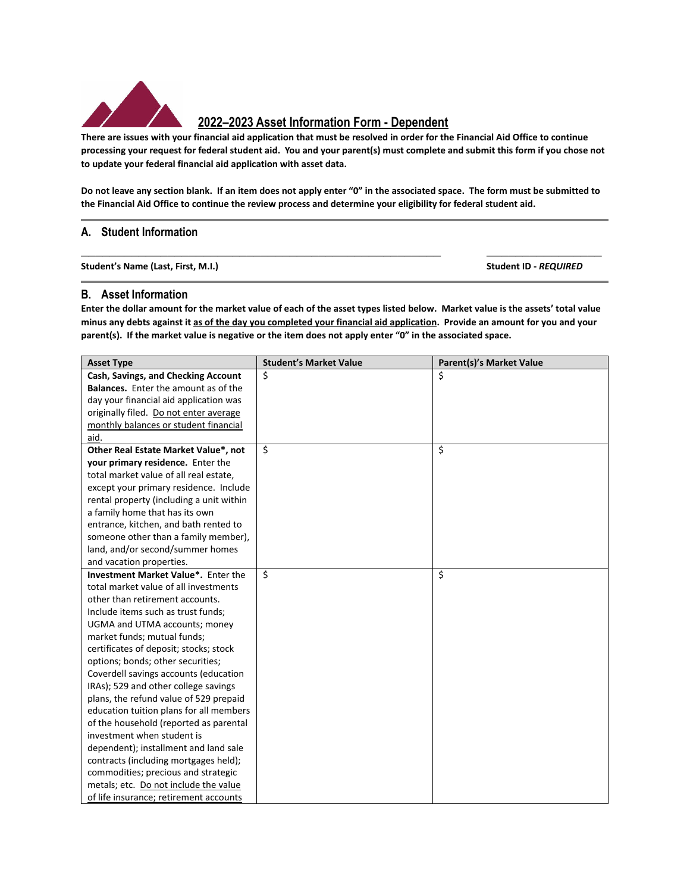

## **2022–2023 Asset Information Form - Dependent**

There are issues with your financial aid application that must be resolved in order for the Financial Aid Office to continue processing your request for federal student aid. You and your parent(s) must complete and submit this form if you chose not **to update your federal financial aid application with asset data.** 

Do not leave any section blank. If an item does not apply enter "0" in the associated space. The form must be submitted to the Financial Aid Office to continue the review process and determine your eligibility for federal student aid.

**\_\_\_\_\_\_\_\_\_\_\_\_\_\_\_\_\_\_\_\_\_\_\_\_\_\_\_\_\_\_\_\_\_\_\_\_\_\_\_\_\_\_\_\_\_\_\_\_\_\_ \_\_\_\_\_\_\_\_\_\_\_\_\_\_\_\_** 

## **A. Student Information**

**Student's Name (Last, First, M.I.) Student ID ‐** *REQUIRED*

## **B. Asset Information**

Enter the dollar amount for the market value of each of the asset types listed below. Market value is the assets' total value minus any debts against it as of the day you completed your financial aid application. Provide an amount for you and your parent(s). If the market value is negative or the item does not apply enter "0" in the associated space.

| <b>Asset Type</b>                           | <b>Student's Market Value</b> | <b>Parent(s)'s Market Value</b> |
|---------------------------------------------|-------------------------------|---------------------------------|
| Cash, Savings, and Checking Account         | Ś.                            | Ś                               |
| <b>Balances.</b> Enter the amount as of the |                               |                                 |
| day your financial aid application was      |                               |                                 |
| originally filed. Do not enter average      |                               |                                 |
| monthly balances or student financial       |                               |                                 |
| aid.                                        |                               |                                 |
| Other Real Estate Market Value*, not        | \$                            | \$                              |
| your primary residence. Enter the           |                               |                                 |
| total market value of all real estate,      |                               |                                 |
| except your primary residence. Include      |                               |                                 |
| rental property (including a unit within    |                               |                                 |
| a family home that has its own              |                               |                                 |
| entrance, kitchen, and bath rented to       |                               |                                 |
| someone other than a family member),        |                               |                                 |
| land, and/or second/summer homes            |                               |                                 |
| and vacation properties.                    |                               |                                 |
| Investment Market Value*. Enter the         | \$                            | \$                              |
| total market value of all investments       |                               |                                 |
| other than retirement accounts.             |                               |                                 |
| Include items such as trust funds;          |                               |                                 |
| UGMA and UTMA accounts; money               |                               |                                 |
| market funds; mutual funds;                 |                               |                                 |
| certificates of deposit; stocks; stock      |                               |                                 |
| options; bonds; other securities;           |                               |                                 |
| Coverdell savings accounts (education       |                               |                                 |
| IRAs); 529 and other college savings        |                               |                                 |
| plans, the refund value of 529 prepaid      |                               |                                 |
| education tuition plans for all members     |                               |                                 |
| of the household (reported as parental      |                               |                                 |
| investment when student is                  |                               |                                 |
| dependent); installment and land sale       |                               |                                 |
| contracts (including mortgages held);       |                               |                                 |
| commodities; precious and strategic         |                               |                                 |
| metals; etc. Do not include the value       |                               |                                 |
| of life insurance; retirement accounts      |                               |                                 |